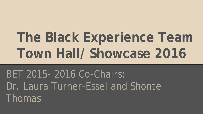# **The Black Experience Team Town Hall/ Showcase 2016**

# BET 2015- 2016 Co-Chairs: Dr. Laura Turner-Essel and Shonté Thomas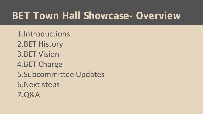# **BET Town Hall Showcase- Overview**

1.Introductions 2.BET History 3.BET Vision 4.BET Charge 5.Subcommittee Updates 6.Next steps 7.Q&A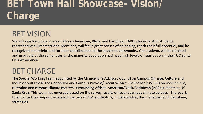# **BET Town Hall Showcase- Vision/ Charge**

### BET VISION

We will reach a critical mass of African American, Black, and Caribbean (ABC) students. ABC students, representing all intersectional identities, will feel a great senses of belonging, reach their full potential, and be recognized and celebrated for their contributions to the academic community. Our students will be retained and graduate at the same rates as the majority population had have high levels of satisfaction in their UC Santa Cruz experience.

### BET CHARGE

The Special Working Team appointed by the Chancellor's Advisory Council on Campus Climate, Culture and Inclusion will advise the Chancellor and Campus Provost/Executive Vice Chancellor (CP/EVC) on recruitment, retention and campus climate matters surrounding African-American/Black/Caribbean (ABC) students at UC Santa Cruz. This team has emerged based on the survey results of recent campus climate surveys. The goal is to enhance the campus climate and success of ABC students by understanding the challenges and identifying strategies.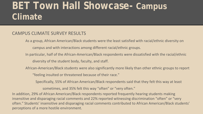## **BET Town Hall Showcase- Campus Climate**

### CAMPUS CLIMATE SURVEY RESULTS

As a group, African American/Black students were the least satisfied with racial/ethnic diversity on campus and with interactions among different racial/ethnic groups.

In particular, half of the African-American/Black respondents were dissatisfied with the racial/ethnic diversity of the student body, faculty, and staff.

African-American/Black students were also significantly more likely than other ethnic groups to report

"feeling insulted or threatened because of their race."

Specifically, 55% of African American/Black respondents said that they felt this way at least

sometimes, and 35% felt this way "often" or "very often."

In addition, 29% of African American/Black respondents reported frequently hearing students making insensitive and disparaging racial comments and 22% reported witnessing discrimination "often" or "very often." Students' insensitive and disparaging racial comments contributed to African American/Black students' perceptions of a more hostile environment.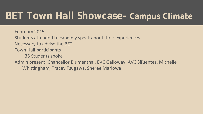# **BET Town Hall Showcase- Campus Climate**

February 2015 Students attended to candidly speak about their experiences Necessary to advise the BET Town Hall participants 35 Students spoke Admin present: Chancellor Blumenthal, EVC Galloway, AVC Sifuentes, Michelle Whittingham, Tracey Tsugawa, Sheree Marlowe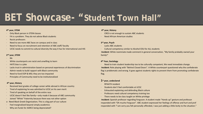## **BET Showcase- "Student Town Hall"**

#### **4th year, STEM**

- · Only Black person in STEM classes
- FA is a problem. They do not advise Black students
- Racist professors
- Need to see more ABC faces on campus and in class
- Need to focus on recruitment and retention of ABC staff/ faculty
- · UCSC needs to commit to cultural diversity the way it has for international and HIS

#### **2nd year, STEM**

- · RA
- White counterparts are racist and unwilling to learn
- · HATE bias is a joke
- · Lacks trust in administration based on personal experiences of discrimination
- Admin needs to build rapport with Black community
- Need to fund EOP & MSI; they are too impacted
- Principles of Community need to be institutionalized

#### **4th year, History**

- Received best grades of college career while abroad in African country
- Tired of explaining he was admitted to UCSC on his own merit
- Tired of speaking on behalf of the entire race
- UCSC doesn't feel like family-only made it because of ABC community
- Joined "White" fraternity because there was not other option
- o Need Black Greek Organization; This is a big part of our culture
- Feel marginalized beyond simply academics
- · Why are funds for AARCC being depreciated?

#### **4th year, History**

- · CRES is not enough to sustain ABC students
- · Need African American studies

#### **3rd year, Psych**

- · Lacks ABC students
- Cultural competency similar to Alcohol EDU for ALL students

·**Incident**: White roommate made comment in general conversation, "My family probably owned your family!"

#### **4th Year, Sociology**

· Need to train student leadership too to be culturally competent; We need immediate change. ·**Incident**: Role playing with "Behind Closed Doors". A White counterpart questioned why the confederate flag is problematic and wrong. It goes against students rights to prevent them from promoting confederate flag.

#### **1st year, undeclared**

- · RPAATH resident
- Students don't feel comfortable at UCSC
- Exhausted explaining and defending Black culture
- Professors need cultural competency training too
- · There needs to be class taught on White privilege

·**Incident**: Spanish professor regarding Ferguson. A student made "Hands up" gesture and professor responded with "Oh mucho Ferguson". ABC student expressed her feelings of offense and hurt and prof responded with "I am sorry you felt personally offended, I was just adding a little levity to the situation."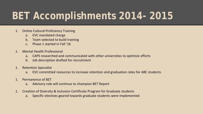# **BET Accomplishments 2014- 2015**

- 1. Online Cultural Proficiency Training
	- a. EVC mandated charge
	- b. Team selected to build training
	- c. Phase 1 started in Fall '16
- 1. Mental Health Professional
	- a. CAPS researched and communicated with other universities to optimize efforts
	- b. Job description drafted for recruitment
- 1. Retention Specialist
	- a. EVC committed resources to increase retention and graduation rates for ABC students
- 1. Permanence of BET
	- a. Advisory role will continue to champion BET Report
- 1. Creation of Diversity & Inclusion Certificate Program for Graduate students
	- a. Specific electives geared towards graduate students were implemented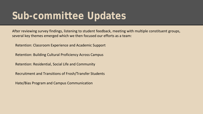# **Sub-committee Updates**

After reviewing survey findings, listening to student feedback, meeting with multiple constituent groups, several key themes emerged which we then focused our efforts as a team:

Retention: Classroom Experience and Academic Support

Retention: Building Cultural Proficiency Across Campus

Retention: Residential, Social Life and Community

Recruitment and Transitions of Frosh/Transfer Students

Hate/Bias Program and Campus Communication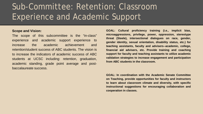### Sub-Committee: Retention: Classroom Experience and Academic Support

#### **Scope and Vision:**

The scope of this subcommittee is the "in-class" experience and academic support experience to increase the academic achievement and retention/student success of ABC students. The vision is to increase the indicators of academic success of ABC students at UCSC including: retention, graduation, academic standing, grade point average and postbaccalaureate success.

**GOAL: Cultural proficiency training (i.e., implicit bias, microaggressions, privilege, power, oppression, stereotype threat (Steele), intersectional dialogues on race, gender, gender identity, sexual orientation, disability status, etc.) for teaching assistants, faculty and advisers--academic, college, financial aid advisers, etc. Provide training and coaching support for faculty and teaching assistants to utilize academic validation strategies to increase engagement and participation from ABC students in the classroom.**

**GOAL: In coordination with the Academic Senate Committee on Teaching, provide opportunities for faculty and instructors to learn about classroom climate and diversity, with specific instructional suggestions for encouraging collaboration and cooperation in classes.**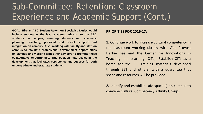### Sub-Committee: Retention: Classroom Experience and Academic Support (Cont.)

**GOAL: Hire an ABC Student Retention Specialist. Duties would include serving as the lead academic advisor for the ABC students on campus, assisting students with academic planning, coaching, personal and social support and integration on campus. Also, working with faculty and staff on campus to facilitate professional development opportunities on campus and working with other advisors to promote these collaborative opportunities. This position may assist in the development that facilitates persistence and success for both undergraduate and graduate students.**

#### **PRIORITIES FOR 2016-17:**

**1.** Continue work to increase cultural competency in the classroom working closely with Vice Provost Herbie Lee and the Center for Innovations in Teaching and Learning (CITL). Establish CITL as a home for the CC Training materials developed through BET and others, with a guarantee that space and resources will be provided.

**2.** Identify and establish safe space(s) on campus to convene Cultural Competency Affinity Groups.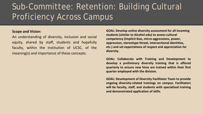### Sub-Committee: Retention: Building Cultural Proficiency Across Campus

### **Scope and Vision:**

An understanding of diversity, inclusion and social equity, shared by staff, students and hopefully faculty, within the institution of UCSC, of the meaning(s) and importance of these concepts.

**GOAL: Develop online diversity assessment for all incoming students (similar to Alcohol.edu) to assess cultural competency (implicit bias, micro-aggressions, power, oppression, stereotype threat, intersectional identities, etc.) and set expectations of respect and appreciation for diversity.**

**GOAL: Collaborate with Training and Development to develop a preliminary diversity training that is offered quarterly to ensure new hires are trained within their first quarter employed with the division.**

**GOAL: Development of Diversity Facilitator Team to provide ongoing diversity-related trainings on campus. Facilitators will be faculty, staff, and students with specialized training and demonstrated application of skills.**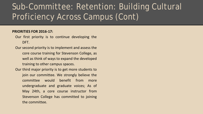### Sub-Committee: Retention: Building Cultural Proficiency Across Campus (Cont)

### **PRIORITIES FOR 2016-17:**

- Our first priority is to continue developing the DFT.
- Our second priority is to implement and assess the core course training for Stevenson College, as well as think of ways to expand the developed training to other campus spaces.
- Our third major priority is to get more students to join our committee. We strongly believe the committee would benefit from more undergraduate and graduate voices; As of May 24th, a core course instructor from Stevenson College has committed to joining the committee.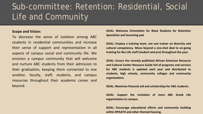### Sub-committee: Retention: Residential, Social Life and Community

#### **Scope and Vision:**

To decrease the sense of isolation among ABC students in residential communities and increase their sense of support and representation in all aspects of campus social and community life. We envision a campus community that will welcome and nurture ABC students from their admission to their graduation, keeping them connected to one another, faculty, staff, students, and campus resources throughout their academic career and beyond.

**GOAL: Welcome Orientation for Black Students for Retention Specialists and launching pad**

**GOAL: Employ a training team, not one trainer on diversity and cultural competency. Move beyond a one-shot deal to on-going training for Res Life staff (student and pro) throughout the year.**

**GOAL: Ensure the recently published African American Resource and Cultural Center Resource Guide full of programs and services for ABC students is updated each year and distributed to students, high schools, community colleges and community organizations.**

**GOAL: Maximize financial aid and scholarshipsfor ABC students.**

**GOAL: Support the invitation of more ABC Greek Life organizationsto campus.**

**GOAL: Encourage educational efforts and community building within RPAATH and other themed housing.**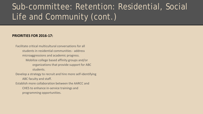### Sub-committee: Retention: Residential, Social Life and Community (cont.)

### **PRIORITIES FOR 2016-17:**

Facilitate critical multicultural conversations for all students in residential communities - address microaggressions and academic progress. Mobilize college based affinity groups and/or organizations that provide support for ABC students.

Develop a strategy to recruit and hire more self-identifying ABC faculty and staff.

Establish more collaboration between the AARCC and CHES to enhance in-service trainings and programming opportunities.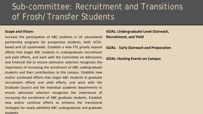### Sub-committee: Recruitment and Transitions of Frosh/Transfer Students

### **Scope and Vision:**

Increase the participation of ABC students in UC educational partnership programs for prospective students, both UCSCbased and UC-systemwide. Establish a new FTE greatly expand efforts that target ABC students in undergraduate recruitment and yield efforts, and work with the Committee on Admissions and Financial Aid to ensure admission selection recognizes the importance of increasing the enrollment of ABC undergraduate students and their contributions to the campus. Establish new and/or continued efforts that target ABC students in graduate recruitment efforts and yield efforts, and work with the Graduate Council and the individual academic departments to ensure admission selection recognizes the importance of increasing the enrollment of ABC graduate students. Establish new and/or continue efforts to enhance the transitional strategies for newly admitted ABC undergraduate and graduate students.

**GOAL: Undergraduate Level Outreach, Recruitment, and Yield** 

**GOAL: Early Outreach and Preparation**

**GOAL: Hosting Events on Campus**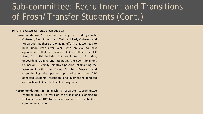### Sub-committee: Recruitment and Transitions of Frosh/Transfer Students (Cont.)

#### **PRIORITY AREAS OF FOCUS FOR 2016-17**

- **Recommendation 1:** Continue working on Undergraduate Outreach, Recruitment, and Yield and Early Outreach and Preparation as these are ongoing efforts that we need to build upon year after year, with an eye to new opportunities that can increase ABC enrollments at UC Santa Cruz. This includes, but not limited to: 1) hiring, onboarding, training and integrating the new Admissions Counselor - Diversity Initiatives position; 2) finalizing the agreement with the Young Scholars Program and strengthening the partnership; bolstering the ABC admitted students' reception; and augmenting targeted outreach for ABC students in EPC programs.
- **Recommendation 2:** Establish a separate subcommittee (working group) to work on the transitional planning to welcome new ABC to the campus and the Santa Cruz community at large.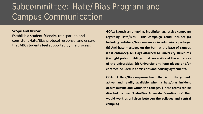### Subcommittee: Hate/Bias Program and Campus Communication

#### **Scope and Vision:**

Establish a student-friendly, transparent, and consistent Hate/Bias protocol response, and ensure that ABC students feel supported by the process.

**GOAL: Launch an on-going, indefinite, aggressive campaign regarding Hate/Bias. This campaign could include: (a) Including anti-hate/bias resources in admissions package, (b) Anti-hate messages on the barn at the base of campus (East entrance), (c) Flags attached to university structures (i.e. light poles, buildings, that are visible at the entrances of the universities, (d) University anti-hate pledge and/or contract included in admissions and housing agreements.**

**GOAL: A Hate/Bias response team that is on the ground, active, and readily available when a hate/bias incident occurs outside and within the colleges. (These teams can be directed by two "Hate/Bias Advocate Coordinators" that would work as a liaison between the colleges and central campus.)**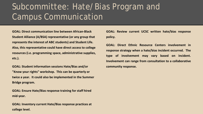### Subcommittee: Hate/Bias Program and Campus Communication

**GOAL: Direct communication line between African-Black Student Alliance (A/BSA) representative (or any group that represents the interest of ABC students) and Student Life. Also, this representative could have direct access to college resources (i.e. programming space, administrative supplies, etc.).**

**GOAL: Student information sessions Hate/Bias and/or "Know your rights" workshop. This can be quarterly or twice a year. It could also be implemented in the Summer Bridge program.**

**GOAL: Ensure Hate/Bias response training for staff hired mid-year.**

**GOAL: Inventory current Hate/Bias response practices at college level.** 

**GOAL: Review current UCSC written hate/bias response policy.**

**GOAL: Direct Ethnic Resource Centers involvement in response strategy when a hate/bias incident occurred. The type of involvement may vary based on incident. Involvement can range from consultation to a collaborative community response.**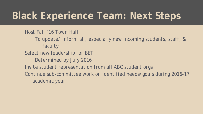# **Black Experience Team: Next Steps**

*Host Fall '16 Town Hall To update/ inform all, especially new incoming students, staff, & faculty Select new leadership for BET Determined by July 2016 Invite student representation from all ABC student orgs Continue sub-committee work on identified needs/goals during 2016-17 academic year*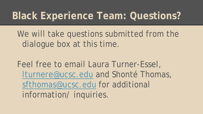# **Black Experience Team: Questions?**

We will take questions submitted from the dialogue box at this time.

Feel free to email Laura Turner-Essel, [lturnere@ucsc.edu](mailto:lturner@ucsc.edu) and Shonté Thomas, [sfthomas@ucsc.edu](mailto:sfthomas@ucsc.edu) for additional information/ inquiries.